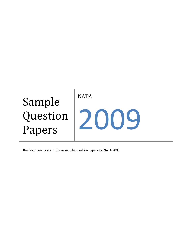

The document contains three sample question papers for NATA 2009.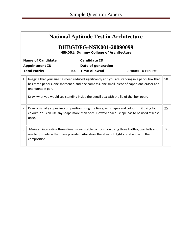|                                                                         | <b>National Aptitude Test in Architecture</b>                                                                                                                                                                                                                                                                     |     |                                                                  |                                                                                                                                                                                     |    |  |  |  |
|-------------------------------------------------------------------------|-------------------------------------------------------------------------------------------------------------------------------------------------------------------------------------------------------------------------------------------------------------------------------------------------------------------|-----|------------------------------------------------------------------|-------------------------------------------------------------------------------------------------------------------------------------------------------------------------------------|----|--|--|--|
| DHBGDFG-NSK001-20090099<br><b>NSK001: Dummy College of Architecture</b> |                                                                                                                                                                                                                                                                                                                   |     |                                                                  |                                                                                                                                                                                     |    |  |  |  |
|                                                                         | <b>Name of Candidate</b><br><b>Appointment ID</b><br><b>Total Marks</b>                                                                                                                                                                                                                                           | 100 | <b>Candidate ID</b><br>Date of generation<br><b>Time Allowed</b> | 2 Hours 10 Minutes                                                                                                                                                                  |    |  |  |  |
| 1                                                                       | 50<br>Imagine that your size has been reduced significantly and you are standing in a pencil box that<br>has three pencils, one sharpener, and one compass, one small piece of paper, one eraser and<br>one fountain pen.<br>Draw what you would see standing inside the pencil box with the lid of the box open. |     |                                                                  |                                                                                                                                                                                     |    |  |  |  |
| 2                                                                       | Draw a visually appealing composition using the five given shapes and colour<br>it using four<br>colours. You can use any shape more than once. However each shape has to be used at least<br>once.                                                                                                               |     |                                                                  |                                                                                                                                                                                     | 25 |  |  |  |
| 3                                                                       | composition.                                                                                                                                                                                                                                                                                                      |     |                                                                  | Make an interesting three dimensional stable composition using three bottles, two balls and<br>one lampshade in the space provided. Also show the effect of light and shadow on the | 25 |  |  |  |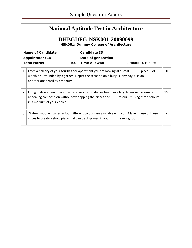## **National Aptitude Test in Architecture**

## **DHBGDFG-NSK001-20090099**

**NSK001: Dummy College of Architecture**

|   | <b>Name of Candidate</b><br><b>Appointment ID</b><br><b>Total Marks</b>                 | 100 | <b>Candidate ID</b><br>Date of generation<br><b>Time Allowed</b>                                                                                            |               | 2 Hours 10 Minutes            |    |
|---|-----------------------------------------------------------------------------------------|-----|-------------------------------------------------------------------------------------------------------------------------------------------------------------|---------------|-------------------------------|----|
| 1 | appropriate pencil as a medium.                                                         |     | From a balcony of your fourth floor apartment you are looking at a small<br>worship surrounded by a garden. Depict the scenario on a busy sunny day. Use an |               | place<br>.of                  | 50 |
| 2 | appealing composition without overlapping the pieces and<br>in a medium of your choice. |     | Using in desired numbers, the basic geometric shapes found in a bicycle, make a visually                                                                    |               | colour it using three colours | 25 |
| 3 | cubes to create a show piece that can be displayed in your                              |     | Sixteen wooden cubes in four different colours are available with you. Make                                                                                 | drawing room. | use of these                  | 25 |